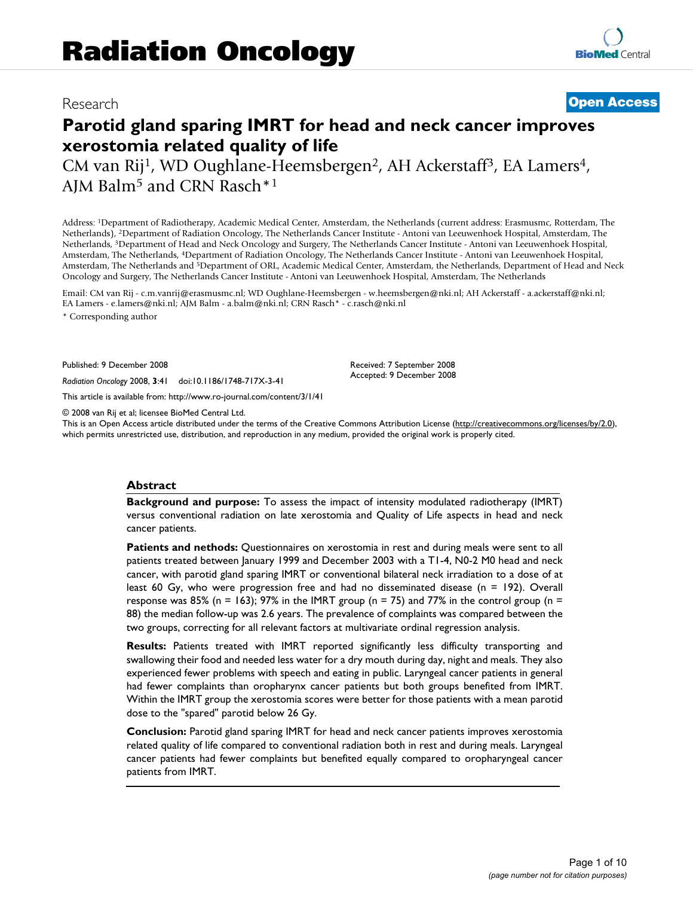## Research **[Open Access](http://www.biomedcentral.com/info/about/charter/)**

# **Parotid gland sparing IMRT for head and neck cancer improves xerostomia related quality of life**

CM van Rij<sup>1</sup>, WD Oughlane-Heemsbergen<sup>2</sup>, AH Ackerstaff<sup>3</sup>, EA Lamers<sup>4</sup>, AJM Balm5 and CRN Rasch\*1

Address: 1Department of Radiotherapy, Academic Medical Center, Amsterdam, the Netherlands (current address: Erasmusmc, Rotterdam, The Netherlands), 2Department of Radiation Oncology, The Netherlands Cancer Institute - Antoni van Leeuwenhoek Hospital, Amsterdam, The Netherlands, 3Department of Head and Neck Oncology and Surgery, The Netherlands Cancer Institute - Antoni van Leeuwenhoek Hospital, Amsterdam, The Netherlands, 4Department of Radiation Oncology, The Netherlands Cancer Institute - Antoni van Leeuwenhoek Hospital, Amsterdam, The Netherlands and 5Department of ORL, Academic Medical Center, Amsterdam, the Netherlands, Department of Head and Neck Oncology and Surgery, The Netherlands Cancer Institute - Antoni van Leeuwenhoek Hospital, Amsterdam, The Netherlands

Email: CM van Rij - c.m.vanrij@erasmusmc.nl; WD Oughlane-Heemsbergen - w.heemsbergen@nki.nl; AH Ackerstaff - a.ackerstaff@nki.nl; EA Lamers - e.lamers@nki.nl; AJM Balm - a.balm@nki.nl; CRN Rasch\* - c.rasch@nki.nl

\* Corresponding author

Published: 9 December 2008

*Radiation Oncology* 2008, **3**:41 doi:10.1186/1748-717X-3-41

[This article is available from: http://www.ro-journal.com/content/3/1/41](http://www.ro-journal.com/content/3/1/41)

© 2008 van Rij et al; licensee BioMed Central Ltd.

This is an Open Access article distributed under the terms of the Creative Commons Attribution License [\(http://creativecommons.org/licenses/by/2.0\)](http://creativecommons.org/licenses/by/2.0), which permits unrestricted use, distribution, and reproduction in any medium, provided the original work is properly cited.

Received: 7 September 2008 Accepted: 9 December 2008

#### **Abstract**

**Background and purpose:** To assess the impact of intensity modulated radiotherapy (IMRT) versus conventional radiation on late xerostomia and Quality of Life aspects in head and neck cancer patients.

**Patients and nethods:** Questionnaires on xerostomia in rest and during meals were sent to all patients treated between January 1999 and December 2003 with a T1-4, N0-2 M0 head and neck cancer, with parotid gland sparing IMRT or conventional bilateral neck irradiation to a dose of at least 60 Gy, who were progression free and had no disseminated disease (n = 192). Overall response was 85% (n = 163); 97% in the IMRT group (n = 75) and 77% in the control group (n = 88) the median follow-up was 2.6 years. The prevalence of complaints was compared between the two groups, correcting for all relevant factors at multivariate ordinal regression analysis.

**Results:** Patients treated with IMRT reported significantly less difficulty transporting and swallowing their food and needed less water for a dry mouth during day, night and meals. They also experienced fewer problems with speech and eating in public. Laryngeal cancer patients in general had fewer complaints than oropharynx cancer patients but both groups benefited from IMRT. Within the IMRT group the xerostomia scores were better for those patients with a mean parotid dose to the "spared" parotid below 26 Gy.

**Conclusion:** Parotid gland sparing IMRT for head and neck cancer patients improves xerostomia related quality of life compared to conventional radiation both in rest and during meals. Laryngeal cancer patients had fewer complaints but benefited equally compared to oropharyngeal cancer patients from IMRT.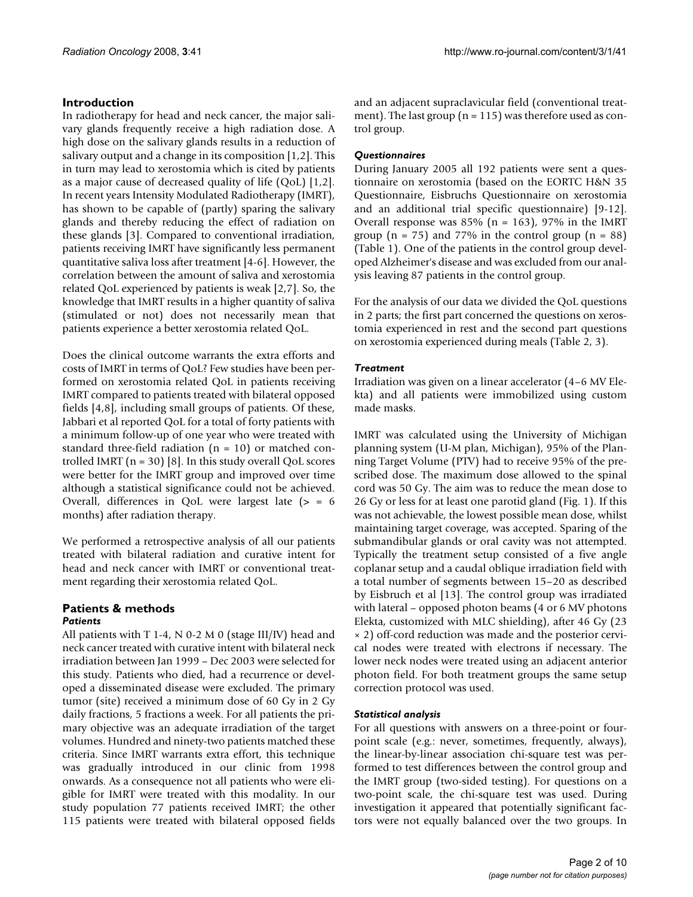### **Introduction**

In radiotherapy for head and neck cancer, the major salivary glands frequently receive a high radiation dose. A high dose on the salivary glands results in a reduction of salivary output and a change in its composition [1,2]. This in turn may lead to xerostomia which is cited by patients as a major cause of decreased quality of life (QoL) [1,2]. In recent years Intensity Modulated Radiotherapy (IMRT), has shown to be capable of (partly) sparing the salivary glands and thereby reducing the effect of radiation on these glands [3]. Compared to conventional irradiation, patients receiving IMRT have significantly less permanent quantitative saliva loss after treatment [4-6]. However, the correlation between the amount of saliva and xerostomia related QoL experienced by patients is weak [2,7]. So, the knowledge that IMRT results in a higher quantity of saliva (stimulated or not) does not necessarily mean that patients experience a better xerostomia related QoL.

Does the clinical outcome warrants the extra efforts and costs of IMRT in terms of QoL? Few studies have been performed on xerostomia related QoL in patients receiving IMRT compared to patients treated with bilateral opposed fields [4,8], including small groups of patients. Of these, Jabbari et al reported QoL for a total of forty patients with a minimum follow-up of one year who were treated with standard three-field radiation  $(n = 10)$  or matched controlled IMRT  $(n = 30)$  [8]. In this study overall QoL scores were better for the IMRT group and improved over time although a statistical significance could not be achieved. Overall, differences in QoL were largest late  $(> = 6$ months) after radiation therapy.

We performed a retrospective analysis of all our patients treated with bilateral radiation and curative intent for head and neck cancer with IMRT or conventional treatment regarding their xerostomia related QoL.

#### **Patients & methods** *Patients*

All patients with  $T$  1-4, N 0-2 M 0 (stage III/IV) head and neck cancer treated with curative intent with bilateral neck irradiation between Jan 1999 – Dec 2003 were selected for this study. Patients who died, had a recurrence or developed a disseminated disease were excluded. The primary tumor (site) received a minimum dose of 60 Gy in 2 Gy daily fractions, 5 fractions a week. For all patients the primary objective was an adequate irradiation of the target volumes. Hundred and ninety-two patients matched these criteria. Since IMRT warrants extra effort, this technique was gradually introduced in our clinic from 1998 onwards. As a consequence not all patients who were eligible for IMRT were treated with this modality. In our study population 77 patients received IMRT; the other 115 patients were treated with bilateral opposed fields and an adjacent supraclavicular field (conventional treatment). The last group ( $n = 115$ ) was therefore used as control group.

#### *Questionnaires*

During January 2005 all 192 patients were sent a questionnaire on xerostomia (based on the EORTC H&N 35 Questionnaire, Eisbruchs Questionnaire on xerostomia and an additional trial specific questionnaire) [9-12]. Overall response was  $85\%$  (n = 163), 97% in the IMRT group ( $n = 75$ ) and 77% in the control group ( $n = 88$ ) (Table 1). One of the patients in the control group developed Alzheimer's disease and was excluded from our analysis leaving 87 patients in the control group.

For the analysis of our data we divided the QoL questions in 2 parts; the first part concerned the questions on xerostomia experienced in rest and the second part questions on xerostomia experienced during meals (Table 2, 3).

### *Treatment*

Irradiation was given on a linear accelerator (4–6 MV Elekta) and all patients were immobilized using custom made masks.

IMRT was calculated using the University of Michigan planning system (U-M plan, Michigan), 95% of the Planning Target Volume (PTV) had to receive 95% of the prescribed dose. The maximum dose allowed to the spinal cord was 50 Gy. The aim was to reduce the mean dose to 26 Gy or less for at least one parotid gland (Fig. 1). If this was not achievable, the lowest possible mean dose, whilst maintaining target coverage, was accepted. Sparing of the submandibular glands or oral cavity was not attempted. Typically the treatment setup consisted of a five angle coplanar setup and a caudal oblique irradiation field with a total number of segments between 15–20 as described by Eisbruch et al [13]. The control group was irradiated with lateral – opposed photon beams (4 or 6 MV photons Elekta, customized with MLC shielding), after 46 Gy (23 × 2) off-cord reduction was made and the posterior cervical nodes were treated with electrons if necessary. The lower neck nodes were treated using an adjacent anterior photon field. For both treatment groups the same setup correction protocol was used.

#### *Statistical analysis*

For all questions with answers on a three-point or fourpoint scale (e.g.: never, sometimes, frequently, always), the linear-by-linear association chi-square test was performed to test differences between the control group and the IMRT group (two-sided testing). For questions on a two-point scale, the chi-square test was used. During investigation it appeared that potentially significant factors were not equally balanced over the two groups. In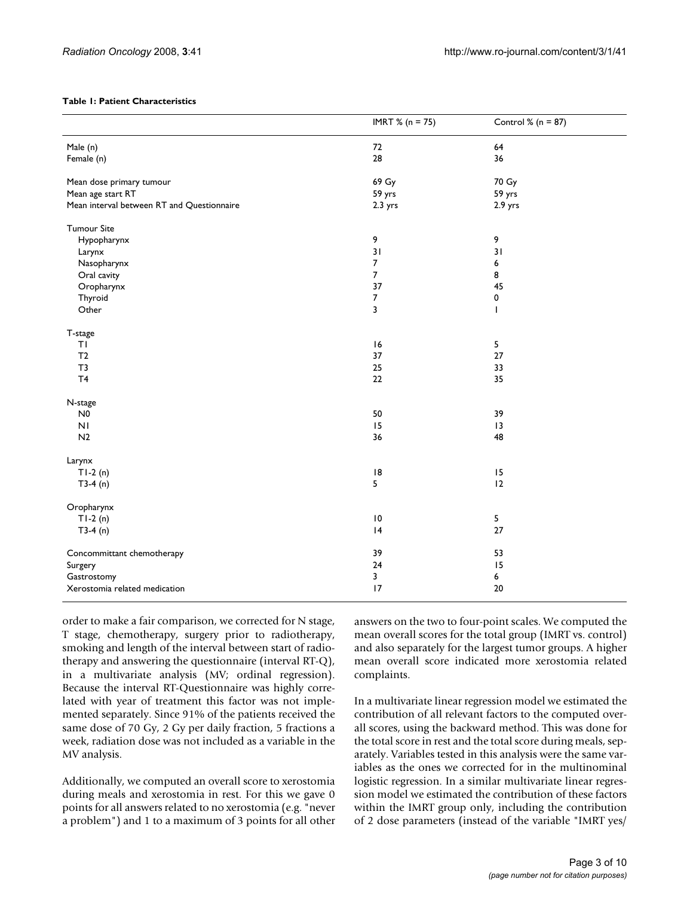#### **Table 1: Patient Characteristics**

|                                            | IMRT % ( $n = 75$ ) | Control % ( $n = 87$ ) |
|--------------------------------------------|---------------------|------------------------|
| Male (n)                                   | $72\,$              | 64                     |
| Female (n)                                 | 28                  | 36                     |
| Mean dose primary tumour                   | 69 Gy               | 70 Gy                  |
| Mean age start RT                          | 59 yrs              | 59 yrs                 |
| Mean interval between RT and Questionnaire | $2.3$ yrs           | $2.9$ yrs              |
| <b>Tumour Site</b>                         |                     |                        |
| Hypopharynx                                | 9                   | 9                      |
| Larynx                                     | 31                  | 31                     |
| Nasopharynx                                | $\overline{7}$      | 6                      |
| Oral cavity                                | $\overline{7}$      | 8                      |
| Oropharynx                                 | 37                  | 45                     |
| Thyroid                                    | $\overline{7}$      | 0                      |
| Other                                      | 3                   | $\mathbf{I}$           |
| T-stage                                    |                     |                        |
| <b>TI</b>                                  | 16                  | 5                      |
| T <sub>2</sub>                             | 37                  | $27\,$                 |
| T <sub>3</sub>                             | 25                  | 33                     |
| T <sub>4</sub>                             | 22                  | 35                     |
| N-stage                                    |                     |                        |
| N <sub>0</sub>                             | 50                  | 39                     |
| N <sub>1</sub>                             | 15                  | 13                     |
| N <sub>2</sub>                             | 36                  | 48                     |
| Larynx                                     |                     |                        |
| $TI-2(n)$                                  | 8                   | 15                     |
| $T3-4(n)$                                  | 5                   | 12                     |
| Oropharynx                                 |                     |                        |
| $TI-2(n)$                                  | $\overline{10}$     | $\overline{5}$         |
| $T3-4(n)$                                  | 4                   | 27                     |
| Concommittant chemotherapy                 | 39                  | 53                     |
| Surgery                                    | 24                  | 15                     |
| Gastrostomy                                | 3                   | 6                      |
| Xerostomia related medication              | 17                  | 20                     |

order to make a fair comparison, we corrected for N stage, T stage, chemotherapy, surgery prior to radiotherapy, smoking and length of the interval between start of radiotherapy and answering the questionnaire (interval RT-Q), in a multivariate analysis (MV; ordinal regression). Because the interval RT-Questionnaire was highly correlated with year of treatment this factor was not implemented separately. Since 91% of the patients received the same dose of 70 Gy, 2 Gy per daily fraction, 5 fractions a week, radiation dose was not included as a variable in the MV analysis.

Additionally, we computed an overall score to xerostomia during meals and xerostomia in rest. For this we gave 0 points for all answers related to no xerostomia (e.g. "never a problem") and 1 to a maximum of 3 points for all other answers on the two to four-point scales. We computed the mean overall scores for the total group (IMRT vs. control) and also separately for the largest tumor groups. A higher mean overall score indicated more xerostomia related complaints.

In a multivariate linear regression model we estimated the contribution of all relevant factors to the computed overall scores, using the backward method. This was done for the total score in rest and the total score during meals, separately. Variables tested in this analysis were the same variables as the ones we corrected for in the multinominal logistic regression. In a similar multivariate linear regression model we estimated the contribution of these factors within the IMRT group only, including the contribution of 2 dose parameters (instead of the variable "IMRT yes/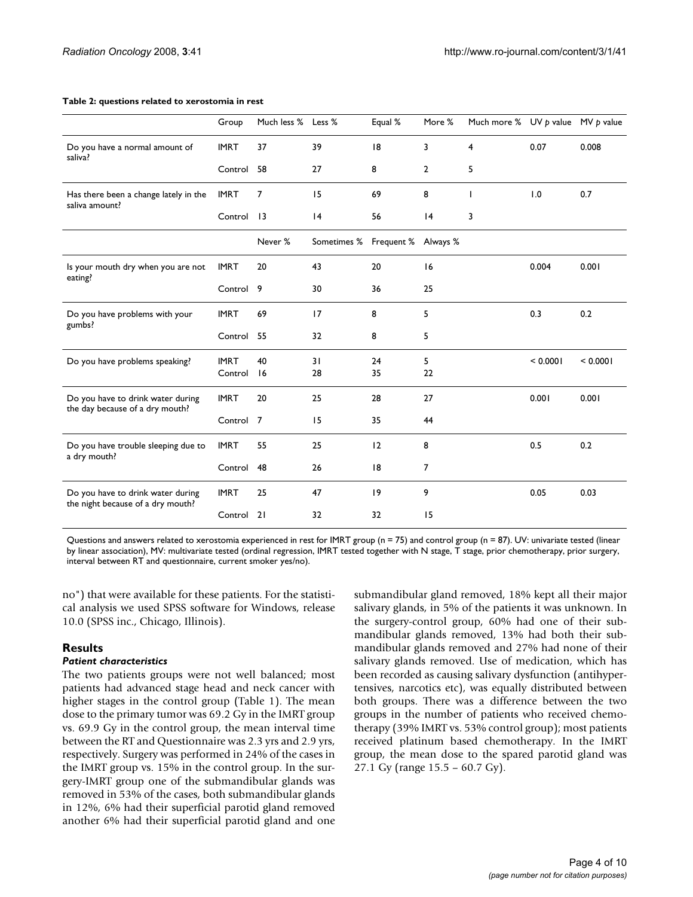#### **Table 2: questions related to xerostomia in rest**

|                                                                        | Group       | Much less % Less % |             | Equal %    | More %         | Much more % $UV$ $p$ value MV $p$ value |          |          |
|------------------------------------------------------------------------|-------------|--------------------|-------------|------------|----------------|-----------------------------------------|----------|----------|
| Do you have a normal amount of<br>saliva?                              | <b>IMRT</b> | 37                 | 39          | 8          | 3              | 4                                       | 0.07     | 0.008    |
|                                                                        | Control     | 58                 | 27          | 8          | $\overline{2}$ | 5                                       |          |          |
| Has there been a change lately in the<br>saliva amount?                | <b>IMRT</b> | $\overline{7}$     | 15          | 69         | 8              | $\mathbf{I}$                            | 1.0      | 0.7      |
|                                                                        | Control 13  |                    | 4           | 56         | 4              | 3                                       |          |          |
|                                                                        |             | Never %            | Sometimes % | Frequent % | Always %       |                                         |          |          |
| Is your mouth dry when you are not<br>eating?                          | <b>IMRT</b> | 20                 | 43          | 20         | 16             |                                         | 0.004    | 0.001    |
|                                                                        | Control 9   |                    | 30          | 36         | 25             |                                         |          |          |
| Do you have problems with your<br>gumbs?                               | <b>IMRT</b> | 69                 | 17          | 8          | 5              |                                         | 0.3      | 0.2      |
|                                                                        | Control 55  |                    | 32          | 8          | 5              |                                         |          |          |
| Do you have problems speaking?                                         | <b>IMRT</b> | 40                 | 31          | 24         | 5              |                                         | < 0.0001 | < 0.0001 |
|                                                                        | Control     | 6                  | 28          | 35         | 22             |                                         |          |          |
| Do you have to drink water during<br>the day because of a dry mouth?   | <b>IMRT</b> | 20                 | 25          | 28         | 27             |                                         | 0.001    | 0.001    |
|                                                                        | Control 7   |                    | 15          | 35         | 44             |                                         |          |          |
| Do you have trouble sleeping due to<br>a dry mouth?                    | <b>IMRT</b> | 55                 | 25          | 12         | 8              |                                         | 0.5      | 0.2      |
|                                                                        | Control     | 48                 | 26          | 8          | $\overline{7}$ |                                         |          |          |
| Do you have to drink water during<br>the night because of a dry mouth? | <b>IMRT</b> | 25                 | 47          | 9          | 9              |                                         | 0.05     | 0.03     |
|                                                                        | Control 21  |                    | 32          | 32         | 15             |                                         |          |          |

Questions and answers related to xerostomia experienced in rest for IMRT group (n = 75) and control group (n = 87). UV: univariate tested (linear by linear association), MV: multivariate tested (ordinal regression, IMRT tested together with N stage, T stage, prior chemotherapy, prior surgery, interval between RT and questionnaire, current smoker yes/no).

no") that were available for these patients. For the statistical analysis we used SPSS software for Windows, release 10.0 (SPSS inc., Chicago, Illinois).

#### **Results**

#### *Patient characteristics*

The two patients groups were not well balanced; most patients had advanced stage head and neck cancer with higher stages in the control group (Table 1). The mean dose to the primary tumor was 69.2 Gy in the IMRT group vs. 69.9 Gy in the control group, the mean interval time between the RT and Questionnaire was 2.3 yrs and 2.9 yrs, respectively. Surgery was performed in 24% of the cases in the IMRT group vs. 15% in the control group. In the surgery-IMRT group one of the submandibular glands was removed in 53% of the cases, both submandibular glands in 12%, 6% had their superficial parotid gland removed another 6% had their superficial parotid gland and one

submandibular gland removed, 18% kept all their major salivary glands, in 5% of the patients it was unknown. In the surgery-control group, 60% had one of their submandibular glands removed, 13% had both their submandibular glands removed and 27% had none of their salivary glands removed. Use of medication, which has been recorded as causing salivary dysfunction (antihypertensives, narcotics etc), was equally distributed between both groups. There was a difference between the two groups in the number of patients who received chemotherapy (39% IMRT vs. 53% control group); most patients received platinum based chemotherapy. In the IMRT group, the mean dose to the spared parotid gland was 27.1 Gy (range 15.5 – 60.7 Gy).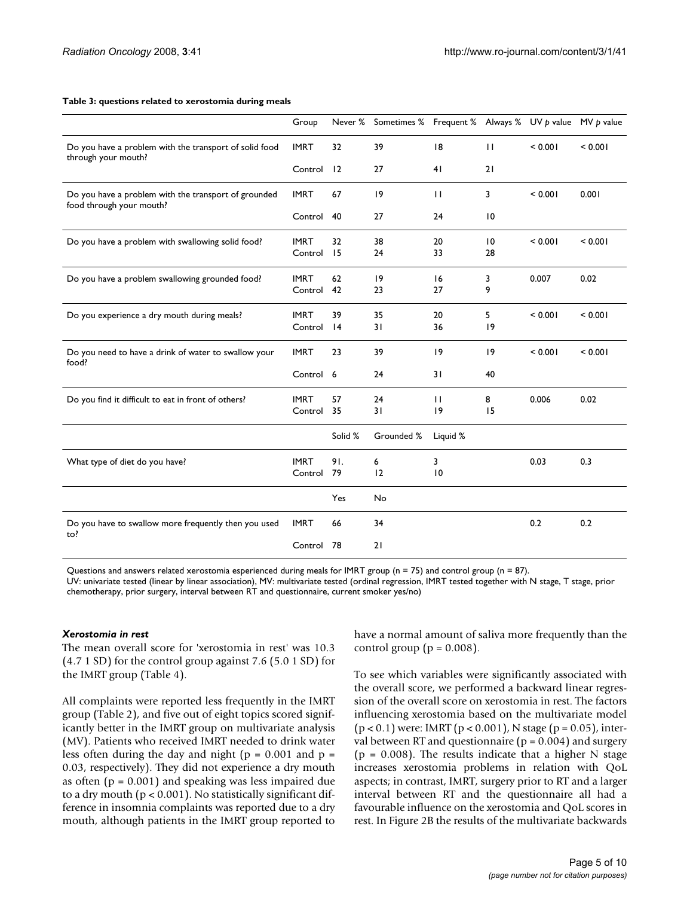#### **Table 3: questions related to xerostomia during meals**

|                                                                                  | Group       |         | Never % Sometimes % Frequent % Always % UV p value MV p value |                 |                 |         |         |
|----------------------------------------------------------------------------------|-------------|---------|---------------------------------------------------------------|-----------------|-----------------|---------|---------|
| Do you have a problem with the transport of solid food<br>through your mouth?    | <b>IMRT</b> | 32      | 39                                                            | 8               | $\mathbf{H}$    | < 0.001 | < 0.001 |
|                                                                                  | Control     | 12      | 27                                                            | 41              | 21              |         |         |
| Do you have a problem with the transport of grounded<br>food through your mouth? | <b>IMRT</b> | 67      | 9                                                             | $\mathbf{H}$    | 3               | < 0.001 | 0.001   |
|                                                                                  | Control     | 40      | 27                                                            | 24              | $\overline{10}$ |         |         |
| Do you have a problem with swallowing solid food?                                | <b>IMRT</b> | 32      | 38                                                            | 20              | $\overline{10}$ | < 0.001 | < 0.001 |
|                                                                                  | Control     | 15      | 24                                                            | 33              | 28              |         |         |
| Do you have a problem swallowing grounded food?                                  | <b>IMRT</b> | 62      | 9                                                             | 16              | 3               | 0.007   | 0.02    |
|                                                                                  | Control     | 42      | 23                                                            | 27              | 9               |         |         |
| Do you experience a dry mouth during meals?                                      | <b>IMRT</b> | 39      | 35                                                            | 20              | 5               | < 0.001 | < 0.001 |
|                                                                                  | Control     | 4       | 31                                                            | 36              | 9               |         |         |
| Do you need to have a drink of water to swallow your<br>food?                    | <b>IMRT</b> | 23      | 39                                                            | 9               | 9               | < 0.001 | < 0.001 |
|                                                                                  | Control 6   |         | 24                                                            | 31              | 40              |         |         |
| Do you find it difficult to eat in front of others?                              | <b>IMRT</b> | 57      | 24                                                            | $\perp$         | 8               | 0.006   | 0.02    |
|                                                                                  | Control     | 35      | 31                                                            | 9               | 15              |         |         |
|                                                                                  |             | Solid % | Grounded %                                                    | Liquid %        |                 |         |         |
| What type of diet do you have?                                                   | <b>IMRT</b> | 91.     | 6                                                             | 3               |                 | 0.03    | 0.3     |
|                                                                                  | Control     | 79      | 12                                                            | $\overline{10}$ |                 |         |         |
|                                                                                  |             | Yes     | No                                                            |                 |                 |         |         |
| Do you have to swallow more frequently then you used<br>to?                      | <b>IMRT</b> | 66      | 34                                                            |                 |                 | 0.2     | 0.2     |
|                                                                                  | Control     | - 78    | 21                                                            |                 |                 |         |         |

Questions and answers related xerostomia esperienced during meals for IMRT group (n = 75) and control group (n = 87).

UV: univariate tested (linear by linear association), MV: multivariate tested (ordinal regression, IMRT tested together with N stage, T stage, prior chemotherapy, prior surgery, interval between RT and questionnaire, current smoker yes/no)

#### *Xerostomia in rest*

The mean overall score for 'xerostomia in rest' was 10.3 (4.7 1 SD) for the control group against 7.6 (5.0 1 SD) for the IMRT group (Table 4).

All complaints were reported less frequently in the IMRT group (Table 2), and five out of eight topics scored significantly better in the IMRT group on multivariate analysis (MV). Patients who received IMRT needed to drink water less often during the day and night ( $p = 0.001$  and  $p =$ 0.03, respectively). They did not experience a dry mouth as often  $(p = 0.001)$  and speaking was less impaired due to a dry mouth ( $p < 0.001$ ). No statistically significant difference in insomnia complaints was reported due to a dry mouth, although patients in the IMRT group reported to

have a normal amount of saliva more frequently than the control group ( $p = 0.008$ ).

To see which variables were significantly associated with the overall score, we performed a backward linear regression of the overall score on xerostomia in rest. The factors influencing xerostomia based on the multivariate model  $(p < 0.1)$  were: IMRT  $(p < 0.001)$ , N stage  $(p = 0.05)$ , interval between RT and questionnaire ( $p = 0.004$ ) and surgery  $(p = 0.008)$ . The results indicate that a higher N stage increases xerostomia problems in relation with QoL aspects; in contrast, IMRT, surgery prior to RT and a larger interval between RT and the questionnaire all had a favourable influence on the xerostomia and QoL scores in rest. In Figure 2B the results of the multivariate backwards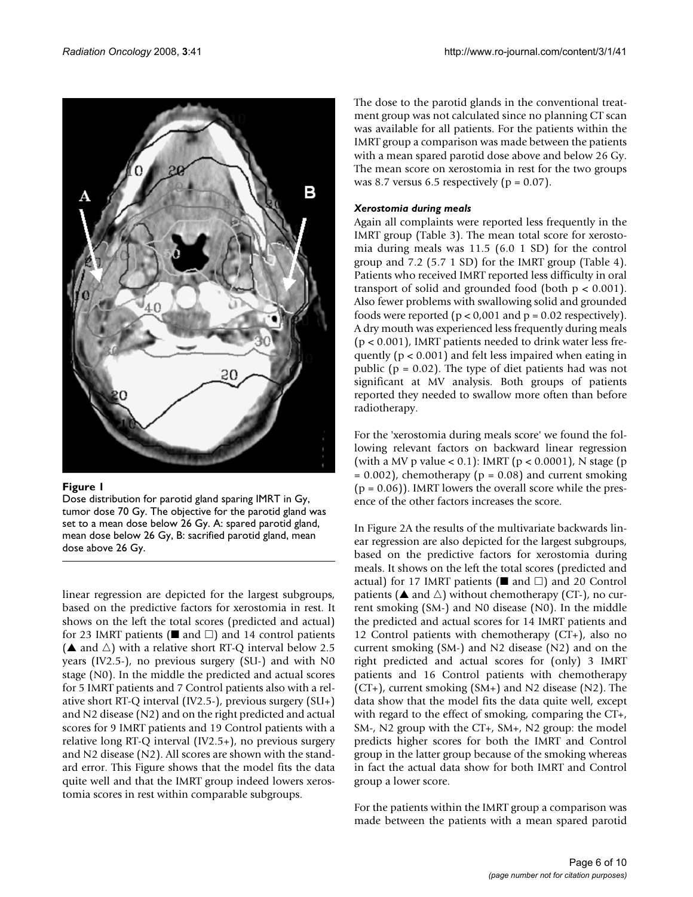

#### **Figure I**

Dose distribution for parotid gland sparing IMRT in Gy, tumor dose 70 Gy. The objective for the parotid gland was set to a mean dose below 26 Gy. A: spared parotid gland, mean dose below 26 Gy, B: sacrified parotid gland, mean dose above 26 Gy.

linear regression are depicted for the largest subgroups, based on the predictive factors for xerostomia in rest. It shows on the left the total scores (predicted and actual) for 23 IMRT patients ( $\blacksquare$  and  $\square$ ) and 14 control patients ( $\blacktriangle$  and  $\triangle$ ) with a relative short RT-Q interval below 2.5 years (IV2.5-), no previous surgery (SU-) and with N0 stage (N0). In the middle the predicted and actual scores for 5 IMRT patients and 7 Control patients also with a relative short RT-Q interval (IV2.5-), previous surgery (SU+) and N2 disease (N2) and on the right predicted and actual scores for 9 IMRT patients and 19 Control patients with a relative long RT-Q interval (IV2.5+), no previous surgery and N2 disease (N2). All scores are shown with the standard error. This Figure shows that the model fits the data quite well and that the IMRT group indeed lowers xerostomia scores in rest within comparable subgroups.

The dose to the parotid glands in the conventional treatment group was not calculated since no planning CT scan was available for all patients. For the patients within the IMRT group a comparison was made between the patients with a mean spared parotid dose above and below 26 Gy. The mean score on xerostomia in rest for the two groups was 8.7 versus 6.5 respectively ( $p = 0.07$ ).

#### *Xerostomia during meals*

Again all complaints were reported less frequently in the IMRT group (Table 3). The mean total score for xerostomia during meals was 11.5 (6.0 1 SD) for the control group and 7.2 (5.7 1 SD) for the IMRT group (Table 4). Patients who received IMRT reported less difficulty in oral transport of solid and grounded food (both  $p < 0.001$ ). Also fewer problems with swallowing solid and grounded foods were reported ( $p < 0.001$  and  $p = 0.02$  respectively). A dry mouth was experienced less frequently during meals  $(p < 0.001)$ , IMRT patients needed to drink water less frequently (p < 0.001) and felt less impaired when eating in public ( $p = 0.02$ ). The type of diet patients had was not significant at MV analysis. Both groups of patients reported they needed to swallow more often than before radiotherapy.

For the 'xerostomia during meals score' we found the following relevant factors on backward linear regression (with a MV p value  $< 0.1$ ): IMRT (p  $< 0.0001$ ), N stage (p  $= 0.002$ ), chemotherapy ( $p = 0.08$ ) and current smoking  $(p = 0.06)$ ). IMRT lowers the overall score while the presence of the other factors increases the score.

In Figure 2A the results of the multivariate backwards linear regression are also depicted for the largest subgroups, based on the predictive factors for xerostomia during meals. It shows on the left the total scores (predicted and actual) for 17 IMRT patients ( $\blacksquare$  and  $\square$ ) and 20 Control patients ( $\blacktriangle$  and  $\triangle$ ) without chemotherapy (CT-), no current smoking (SM-) and N0 disease (N0). In the middle the predicted and actual scores for 14 IMRT patients and 12 Control patients with chemotherapy (CT+), also no current smoking (SM-) and N2 disease (N2) and on the right predicted and actual scores for (only) 3 IMRT patients and 16 Control patients with chemotherapy (CT+), current smoking (SM+) and N2 disease (N2). The data show that the model fits the data quite well, except with regard to the effect of smoking, comparing the CT+, SM-, N2 group with the CT+, SM+, N2 group: the model predicts higher scores for both the IMRT and Control group in the latter group because of the smoking whereas in fact the actual data show for both IMRT and Control group a lower score.

For the patients within the IMRT group a comparison was made between the patients with a mean spared parotid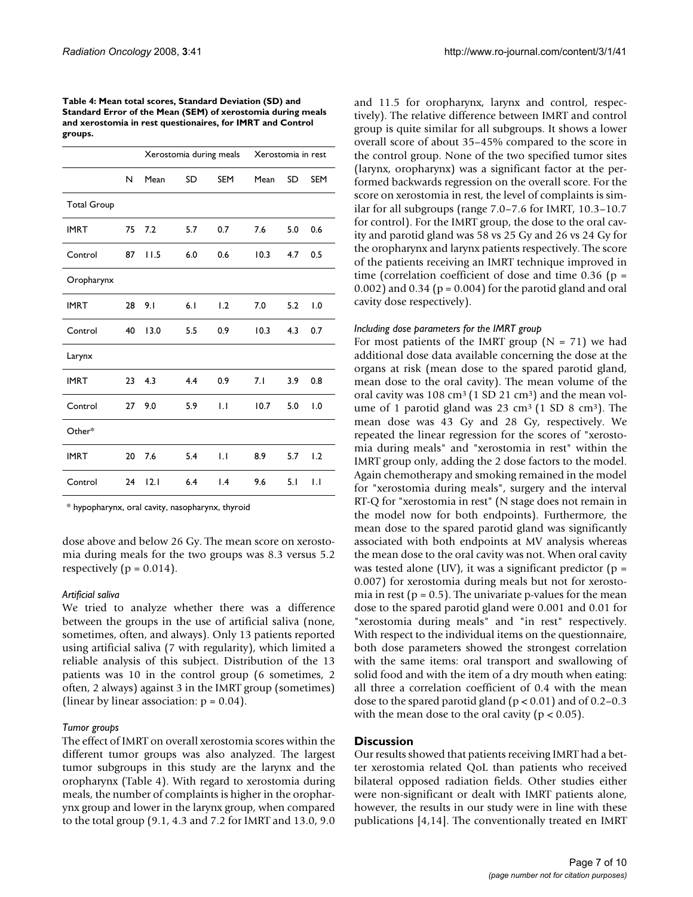**Table 4: Mean total scores, Standard Deviation (SD) and Standard Error of the Mean (SEM) of xerostomia during meals and xerostomia in rest questionaires, for IMRT and Control groups.**

|                    |    | Xerostomia during meals |     | Xerostomia in rest |      |     |              |
|--------------------|----|-------------------------|-----|--------------------|------|-----|--------------|
|                    | N  | Mean                    | SD  | <b>SEM</b>         | Mean | SD  | <b>SEM</b>   |
| <b>Total Group</b> |    |                         |     |                    |      |     |              |
| <b>IMRT</b>        | 75 | 7.2                     | 5.7 | 0.7                | 7.6  | 5.0 | 0.6          |
| Control            | 87 | 11.5                    | 6.0 | 0.6                | 10.3 | 4.7 | 0.5          |
| Oropharynx         |    |                         |     |                    |      |     |              |
| <b>IMRT</b>        | 28 | 9.1                     | 6.1 | 1.2                | 7.0  | 5.2 | 1.0          |
| Control            | 40 | 13.0                    | 5.5 | 0.9                | 10.3 | 4.3 | 0.7          |
| Larynx             |    |                         |     |                    |      |     |              |
| <b>IMRT</b>        | 23 | 4.3                     | 4.4 | 0.9                | 7.1  | 3.9 | 0.8          |
| Control            | 27 | 9.0                     | 5.9 | $\mathbf{L}$       | 10.7 | 5.0 | 1.0          |
| Other*             |    |                         |     |                    |      |     |              |
| <b>IMRT</b>        | 20 | 7.6                     | 5.4 | $\overline{1}$ .   | 8.9  | 5.7 | 1.2          |
| Control            | 24 | 12.1                    | 6.4 | $\mathsf{I}$ .4    | 9.6  | 5.1 | $\mathbf{L}$ |

\* hypopharynx, oral cavity, nasopharynx, thyroid

dose above and below 26 Gy. The mean score on xerostomia during meals for the two groups was 8.3 versus 5.2 respectively ( $p = 0.014$ ).

#### *Artificial saliva*

We tried to analyze whether there was a difference between the groups in the use of artificial saliva (none, sometimes, often, and always). Only 13 patients reported using artificial saliva (7 with regularity), which limited a reliable analysis of this subject. Distribution of the 13 patients was 10 in the control group (6 sometimes, 2 often, 2 always) against 3 in the IMRT group (sometimes) (linear by linear association:  $p = 0.04$ ).

#### *Tumor groups*

The effect of IMRT on overall xerostomia scores within the different tumor groups was also analyzed. The largest tumor subgroups in this study are the larynx and the oropharynx (Table 4). With regard to xerostomia during meals, the number of complaints is higher in the oropharynx group and lower in the larynx group, when compared to the total group (9.1, 4.3 and 7.2 for IMRT and 13.0, 9.0 and 11.5 for oropharynx, larynx and control, respectively). The relative difference between IMRT and control group is quite similar for all subgroups. It shows a lower overall score of about 35–45% compared to the score in the control group. None of the two specified tumor sites (larynx, oropharynx) was a significant factor at the performed backwards regression on the overall score. For the score on xerostomia in rest, the level of complaints is similar for all subgroups (range 7.0–7.6 for IMRT, 10.3–10.7 for control). For the IMRT group, the dose to the oral cavity and parotid gland was 58 vs 25 Gy and 26 vs 24 Gy for the oropharynx and larynx patients respectively. The score of the patients receiving an IMRT technique improved in time (correlation coefficient of dose and time  $0.36$  (p =  $(0.002)$  and  $(0.34)$  (p = 0.004) for the parotid gland and oral cavity dose respectively).

#### *Including dose parameters for the IMRT group*

For most patients of the IMRT group  $(N = 71)$  we had additional dose data available concerning the dose at the organs at risk (mean dose to the spared parotid gland, mean dose to the oral cavity). The mean volume of the oral cavity was  $108 \text{ cm}^3 (1 \text{ SD } 21 \text{ cm}^3)$  and the mean volume of 1 parotid gland was  $23 \text{ cm}^3$  (1 SD 8 cm<sup>3</sup>). The mean dose was 43 Gy and 28 Gy, respectively. We repeated the linear regression for the scores of "xerostomia during meals" and "xerostomia in rest" within the IMRT group only, adding the 2 dose factors to the model. Again chemotherapy and smoking remained in the model for "xerostomia during meals", surgery and the interval RT-Q for "xerostomia in rest" (N stage does not remain in the model now for both endpoints). Furthermore, the mean dose to the spared parotid gland was significantly associated with both endpoints at MV analysis whereas the mean dose to the oral cavity was not. When oral cavity was tested alone (UV), it was a significant predictor ( $p =$ 0.007) for xerostomia during meals but not for xerostomia in rest ( $p = 0.5$ ). The univariate p-values for the mean dose to the spared parotid gland were 0.001 and 0.01 for "xerostomia during meals" and "in rest" respectively. With respect to the individual items on the questionnaire, both dose parameters showed the strongest correlation with the same items: oral transport and swallowing of solid food and with the item of a dry mouth when eating: all three a correlation coefficient of 0.4 with the mean dose to the spared parotid gland ( $p < 0.01$ ) and of 0.2–0.3 with the mean dose to the oral cavity ( $p < 0.05$ ).

#### **Discussion**

Our results showed that patients receiving IMRT had a better xerostomia related QoL than patients who received bilateral opposed radiation fields. Other studies either were non-significant or dealt with IMRT patients alone, however, the results in our study were in line with these publications [4,14]. The conventionally treated en IMRT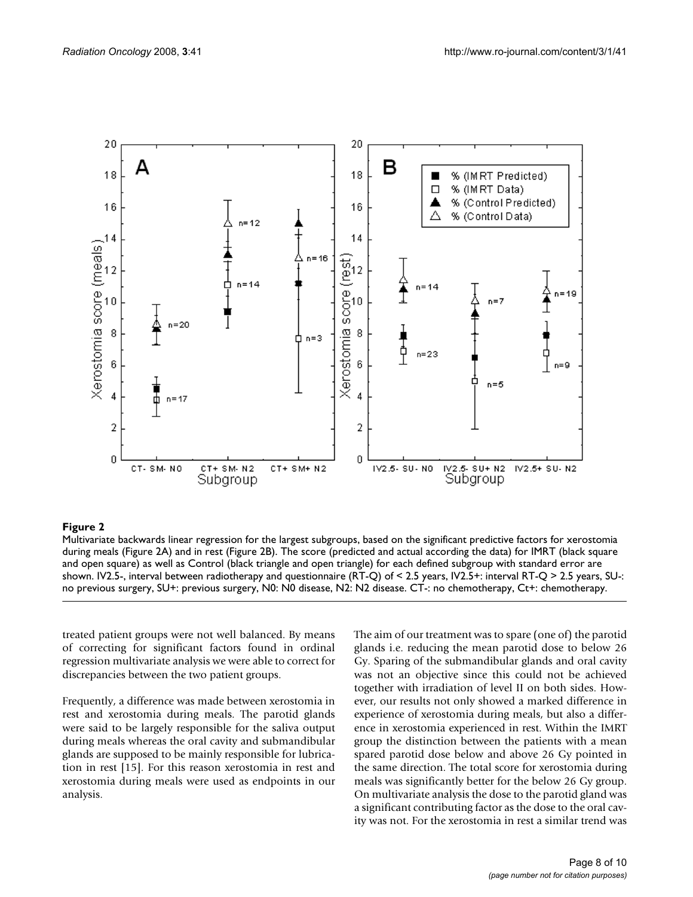

#### Multivariate backwards linear regression fo during meals (Figure 2A) and in rest (Figure 2B) **Figure 2** r the largest subgroups, based on the significant predictive factors for xerostomia

Multivariate backwards linear regression for the largest subgroups, based on the significant predictive factors for xerostomia during meals (Figure 2A) and in rest (Figure 2B). The score (predicted and actual according the data) for IMRT (black square and open square) as well as Control (black triangle and open triangle) for each defined subgroup with standard error are shown. IV2.5-, interval between radiotherapy and questionnaire (RT-Q) of < 2.5 years, IV2.5+: interval RT-Q > 2.5 years, SU-: no previous surgery, SU+: previous surgery, N0: N0 disease, N2: N2 disease. CT-: no chemotherapy, Ct+: chemotherapy.

treated patient groups were not well balanced. By means of correcting for significant factors found in ordinal regression multivariate analysis we were able to correct for discrepancies between the two patient groups.

Frequently, a difference was made between xerostomia in rest and xerostomia during meals. The parotid glands were said to be largely responsible for the saliva output during meals whereas the oral cavity and submandibular glands are supposed to be mainly responsible for lubrication in rest [15]. For this reason xerostomia in rest and xerostomia during meals were used as endpoints in our analysis.

The aim of our treatment was to spare (one of) the parotid glands i.e. reducing the mean parotid dose to below 26 Gy. Sparing of the submandibular glands and oral cavity was not an objective since this could not be achieved together with irradiation of level II on both sides. However, our results not only showed a marked difference in experience of xerostomia during meals, but also a difference in xerostomia experienced in rest. Within the IMRT group the distinction between the patients with a mean spared parotid dose below and above 26 Gy pointed in the same direction. The total score for xerostomia during meals was significantly better for the below 26 Gy group. On multivariate analysis the dose to the parotid gland was a significant contributing factor as the dose to the oral cavity was not. For the xerostomia in rest a similar trend was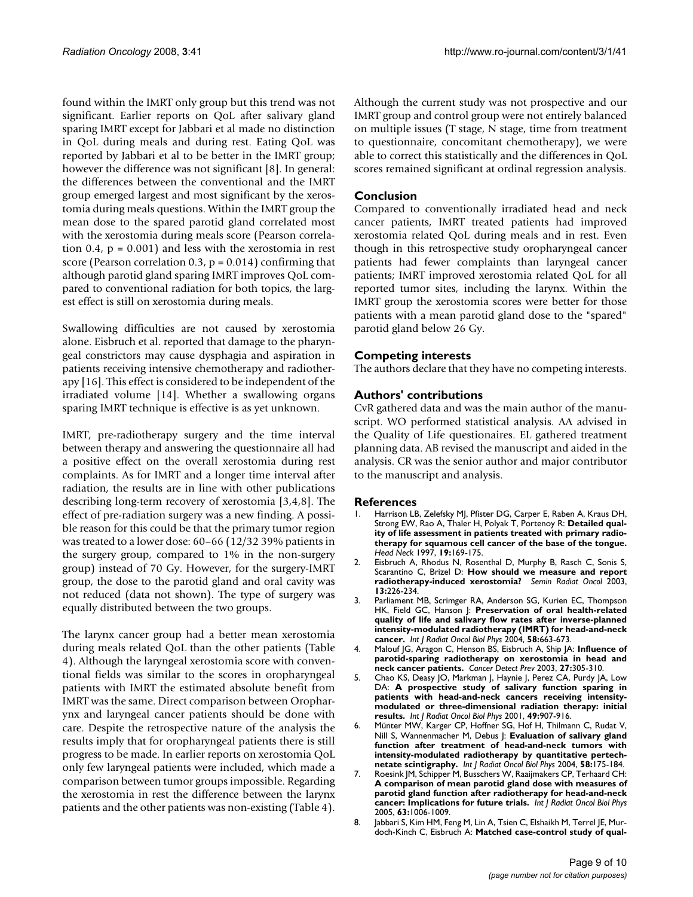found within the IMRT only group but this trend was not significant. Earlier reports on QoL after salivary gland sparing IMRT except for Jabbari et al made no distinction in QoL during meals and during rest. Eating QoL was reported by Jabbari et al to be better in the IMRT group; however the difference was not significant [8]. In general: the differences between the conventional and the IMRT group emerged largest and most significant by the xerostomia during meals questions. Within the IMRT group the mean dose to the spared parotid gland correlated most with the xerostomia during meals score (Pearson correlation 0.4,  $p = 0.001$  and less with the xerostomia in rest score (Pearson correlation  $0.3$ ,  $p = 0.014$ ) confirming that although parotid gland sparing IMRT improves QoL compared to conventional radiation for both topics, the largest effect is still on xerostomia during meals.

Swallowing difficulties are not caused by xerostomia alone. Eisbruch et al. reported that damage to the pharyngeal constrictors may cause dysphagia and aspiration in patients receiving intensive chemotherapy and radiotherapy [16]. This effect is considered to be independent of the irradiated volume [14]. Whether a swallowing organs sparing IMRT technique is effective is as yet unknown.

IMRT, pre-radiotherapy surgery and the time interval between therapy and answering the questionnaire all had a positive effect on the overall xerostomia during rest complaints. As for IMRT and a longer time interval after radiation, the results are in line with other publications describing long-term recovery of xerostomia [3,4,8]. The effect of pre-radiation surgery was a new finding. A possible reason for this could be that the primary tumor region was treated to a lower dose: 60–66 (12/32 39% patients in the surgery group, compared to 1% in the non-surgery group) instead of 70 Gy. However, for the surgery-IMRT group, the dose to the parotid gland and oral cavity was not reduced (data not shown). The type of surgery was equally distributed between the two groups.

The larynx cancer group had a better mean xerostomia during meals related QoL than the other patients (Table 4). Although the laryngeal xerostomia score with conventional fields was similar to the scores in oropharyngeal patients with IMRT the estimated absolute benefit from IMRT was the same. Direct comparison between Oropharynx and laryngeal cancer patients should be done with care. Despite the retrospective nature of the analysis the results imply that for oropharyngeal patients there is still progress to be made. In earlier reports on xerostomia QoL only few laryngeal patients were included, which made a comparison between tumor groups impossible. Regarding the xerostomia in rest the difference between the larynx patients and the other patients was non-existing (Table 4). Although the current study was not prospective and our IMRT group and control group were not entirely balanced on multiple issues (T stage, N stage, time from treatment to questionnaire, concomitant chemotherapy), we were able to correct this statistically and the differences in QoL scores remained significant at ordinal regression analysis.

### **Conclusion**

Compared to conventionally irradiated head and neck cancer patients, IMRT treated patients had improved xerostomia related QoL during meals and in rest. Even though in this retrospective study oropharyngeal cancer patients had fewer complaints than laryngeal cancer patients; IMRT improved xerostomia related QoL for all reported tumor sites, including the larynx. Within the IMRT group the xerostomia scores were better for those patients with a mean parotid gland dose to the "spared" parotid gland below 26 Gy.

#### **Competing interests**

The authors declare that they have no competing interests.

### **Authors' contributions**

CvR gathered data and was the main author of the manuscript. WO performed statistical analysis. AA advised in the Quality of Life questionaires. EL gathered treatment planning data. AB revised the manuscript and aided in the analysis. CR was the senior author and major contributor to the manuscript and analysis.

#### **References**

- 1. Harrison LB, Zelefsky MJ, Pfister DG, Carper E, Raben A, Kraus DH, Strong EW, Rao A, Thaler H, Polyak T, Portenoy R: **[Detailed qual](http://www.ncbi.nlm.nih.gov/entrez/query.fcgi?cmd=Retrieve&db=PubMed&dopt=Abstract&list_uids=9142514)ity of life assessment in patients treated with primary radio[therapy for squamous cell cancer of the base of the tongue.](http://www.ncbi.nlm.nih.gov/entrez/query.fcgi?cmd=Retrieve&db=PubMed&dopt=Abstract&list_uids=9142514)** *Head Neck* 1997, **19:**169-175.
- 2. Eisbruch A, Rhodus N, Rosenthal D, Murphy B, Rasch C, Sonis S, Scarantino C, Brizel D: **[How should we measure and report](http://www.ncbi.nlm.nih.gov/entrez/query.fcgi?cmd=Retrieve&db=PubMed&dopt=Abstract&list_uids=12903012) [radiotherapy-induced xerostomia?](http://www.ncbi.nlm.nih.gov/entrez/query.fcgi?cmd=Retrieve&db=PubMed&dopt=Abstract&list_uids=12903012)** *Semin Radiat Oncol* 2003, **13:**226-234.
- Parliament MB, Scrimger RA, Anderson SG, Kurien EC, Thompson HK, Field GC, Hanson J: **[Preservation of oral health-related](http://www.ncbi.nlm.nih.gov/entrez/query.fcgi?cmd=Retrieve&db=PubMed&dopt=Abstract&list_uids=14967418) quality of life and salivary flow rates after inverse-planned [intensity-modulated radiotherapy \(IMRT\) for head-and-neck](http://www.ncbi.nlm.nih.gov/entrez/query.fcgi?cmd=Retrieve&db=PubMed&dopt=Abstract&list_uids=14967418) [cancer.](http://www.ncbi.nlm.nih.gov/entrez/query.fcgi?cmd=Retrieve&db=PubMed&dopt=Abstract&list_uids=14967418)** *Int J Radiat Oncol Biol Phys* 2004, **58:**663-673.
- 4. Malouf JG, Aragon C, Henson BS, Eisbruch A, Ship JA: **[Influence of](http://www.ncbi.nlm.nih.gov/entrez/query.fcgi?cmd=Retrieve&db=PubMed&dopt=Abstract&list_uids=12893079) [parotid-sparing radiotherapy on xerostomia in head and](http://www.ncbi.nlm.nih.gov/entrez/query.fcgi?cmd=Retrieve&db=PubMed&dopt=Abstract&list_uids=12893079) [neck cancer patients.](http://www.ncbi.nlm.nih.gov/entrez/query.fcgi?cmd=Retrieve&db=PubMed&dopt=Abstract&list_uids=12893079)** *Cancer Detect Prev* 2003, **27:**305-310.
- 5. Chao KS, Deasy JO, Markman J, Haynie J, Perez CA, Purdy JA, Low DA: **[A prospective study of salivary function sparing in](http://www.ncbi.nlm.nih.gov/entrez/query.fcgi?cmd=Retrieve&db=PubMed&dopt=Abstract&list_uids=11240231) patients with head-and-neck cancers receiving intensity[modulated or three-dimensional radiation therapy: initial](http://www.ncbi.nlm.nih.gov/entrez/query.fcgi?cmd=Retrieve&db=PubMed&dopt=Abstract&list_uids=11240231) [results.](http://www.ncbi.nlm.nih.gov/entrez/query.fcgi?cmd=Retrieve&db=PubMed&dopt=Abstract&list_uids=11240231)** *Int J Radiat Oncol Biol Phys* 2001, **49:**907-916.
- 6. Münter MW, Karger CP, Hoffner SG, Hof H, Thilmann C, Rudat V, Nill S, Wannenmacher M, Debus |: **[Evaluation of salivary gland](http://www.ncbi.nlm.nih.gov/entrez/query.fcgi?cmd=Retrieve&db=PubMed&dopt=Abstract&list_uids=14697436) function after treatment of head-and-neck tumors with [intensity-modulated radiotherapy by quantitative pertech](http://www.ncbi.nlm.nih.gov/entrez/query.fcgi?cmd=Retrieve&db=PubMed&dopt=Abstract&list_uids=14697436)[netate scintigraphy.](http://www.ncbi.nlm.nih.gov/entrez/query.fcgi?cmd=Retrieve&db=PubMed&dopt=Abstract&list_uids=14697436)** *Int J Radiat Oncol Biol Phys* 2004, **58:**175-184.
- 7. Roesink JM, Schipper M, Busschers W, Raaijmakers CP, Terhaard CH: **A comparison of mean parotid gland dose with measures of [parotid gland function after radiotherapy for head-and-neck](http://www.ncbi.nlm.nih.gov/entrez/query.fcgi?cmd=Retrieve&db=PubMed&dopt=Abstract&list_uids=15964708) [cancer: Implications for future trials.](http://www.ncbi.nlm.nih.gov/entrez/query.fcgi?cmd=Retrieve&db=PubMed&dopt=Abstract&list_uids=15964708)** *Int J Radiat Oncol Biol Phys* 2005, **63:**1006-1009.
- 8. Jabbari S, Kim HM, Feng M, Lin A, Tsien C, Elshaikh M, Terrel JE, Murdoch-Kinch C, Eisbruch A: **[Matched case-control study of qual](http://www.ncbi.nlm.nih.gov/entrez/query.fcgi?cmd=Retrieve&db=PubMed&dopt=Abstract&list_uids=16199308)-**